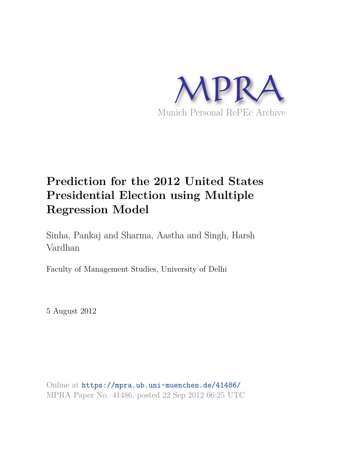

# **Prediction for the 2012 United States Presidential Election using Multiple Regression Model**

Sinha, Pankaj and Sharma, Aastha and Singh, Harsh Vardhan

Faculty of Management Studies, University of Delhi

5 August 2012

Online at https://mpra.ub.uni-muenchen.de/41486/ MPRA Paper No. 41486, posted 22 Sep 2012 06:25 UTC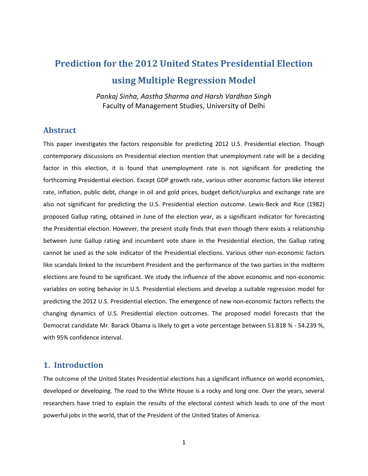# **Prediction for the 2012 United States Presidential Election using Multiple Regression Model**

*Pankaj Sinha, Aastha Sharma and Harsh Vardhan Singh*  Faculty of Management Studies, University of Delhi

#### **Abstract**

This paper investigates the factors responsible for predicting 2012 U.S. Presidential election. Though contemporary discussions on Presidential election mention that unemployment rate will be a deciding factor in this election, it is found that unemployment rate is not significant for predicting the forthcoming Presidential election. Except GDP growth rate, various other economic factors like interest rate, inflation, public debt, change in oil and gold prices, budget deficit/surplus and exchange rate are also not significant for predicting the U.S. Presidential election outcome. Lewis-Beck and Rice (1982) proposed Gallup rating, obtained in June of the election year, as a significant indicator for forecasting the Presidential election. However, the present study finds that even though there exists a relationship between June Gallup rating and incumbent vote share in the Presidential election, the Gallup rating cannot be used as the sole indicator of the Presidential elections. Various other non-economic factors like scandals linked to the incumbent President and the performance of the two parties in the midterm elections are found to be significant. We study the influence of the above economic and non-economic variables on voting behavior in U.S. Presidential elections and develop a suitable regression model for predicting the 2012 U.S. Presidential election. The emergence of new non-economic factors reflects the changing dynamics of U.S. Presidential election outcomes. The proposed model forecasts that the Democrat candidate Mr. Barack Obama is likely to get a vote percentage between 51.818 % - 54.239 %, with 95% confidence interval.

#### **1. Introduction**

The outcome of the United States Presidential elections has a significant influence on world economies, developed or developing. The road to the White House is a rocky and long one. Over the years, several researchers have tried to explain the results of the electoral contest which leads to one of the most powerful jobs in the world, that of the President of the United States of America.

1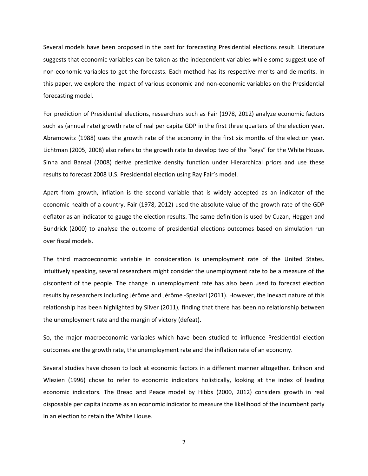Several models have been proposed in the past for forecasting Presidential elections result. Literature suggests that economic variables can be taken as the independent variables while some suggest use of non-economic variables to get the forecasts. Each method has its respective merits and de-merits. In this paper, we explore the impact of various economic and non-economic variables on the Presidential forecasting model.

For prediction of Presidential elections, researchers such as Fair (1978, 2012) analyze economic factors such as (annual rate) growth rate of real per capita GDP in the first three quarters of the election year. Abramowitz (1988) uses the growth rate of the economy in the first six months of the election year. Lichtman (2005, 2008) also refers to the growth rate to develop two of the "keys" for the White House. Sinha and Bansal (2008) derive predictive density function under Hierarchical priors and use these results to forecast 2008 U.S. Presidential election using Ray Fair's model.

Apart from growth, inflation is the second variable that is widely accepted as an indicator of the economic health of a country. Fair (1978, 2012) used the absolute value of the growth rate of the GDP deflator as an indicator to gauge the election results. The same definition is used by Cuzan, Heggen and Bundrick (2000) to analyse the outcome of presidential elections outcomes based on simulation run over fiscal models.

The third macroeconomic variable in consideration is unemployment rate of the United States. Intuitively speaking, several researchers might consider the unemployment rate to be a measure of the discontent of the people. The change in unemployment rate has also been used to forecast election results by researchers including Jérôme and Jérôme -Speziari (2011). However, the inexact nature of this relationship has been highlighted by Silver (2011), finding that there has been no relationship between the unemployment rate and the margin of victory (defeat).

So, the major macroeconomic variables which have been studied to influence Presidential election outcomes are the growth rate, the unemployment rate and the inflation rate of an economy.

Several studies have chosen to look at economic factors in a different manner altogether. Erikson and Wlezien (1996) chose to refer to economic indicators holistically, looking at the index of leading economic indicators. The Bread and Peace model by Hibbs (2000, 2012) considers growth in real disposable per capita income as an economic indicator to measure the likelihood of the incumbent party in an election to retain the White House.

2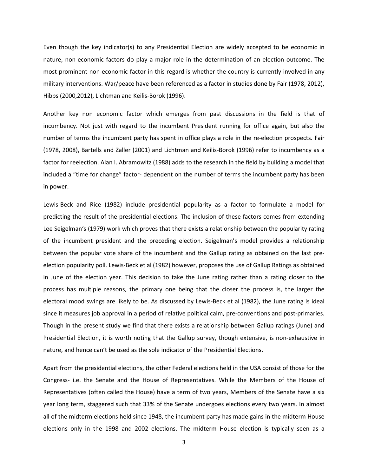Even though the key indicator(s) to any Presidential Election are widely accepted to be economic in nature, non-economic factors do play a major role in the determination of an election outcome. The most prominent non-economic factor in this regard is whether the country is currently involved in any military interventions. War/peace have been referenced as a factor in studies done by Fair (1978, 2012), Hibbs (2000,2012), Lichtman and Keilis-Borok (1996).

Another key non economic factor which emerges from past discussions in the field is that of incumbency. Not just with regard to the incumbent President running for office again, but also the number of terms the incumbent party has spent in office plays a role in the re-election prospects. Fair (1978, 2008), Bartells and Zaller (2001) and Lichtman and Keilis-Borok (1996) refer to incumbency as a factor for reelection. Alan I. Abramowitz (1988) adds to the research in the field by building a model that included a "time for change" factor- dependent on the number of terms the incumbent party has been in power.

Lewis-Beck and Rice (1982) include presidential popularity as a factor to formulate a model for predicting the result of the presidential elections. The inclusion of these factors comes from extending Lee Seigelman's (1979) work which proves that there exists a relationship between the popularity rating of the incumbent president and the preceding election. Seigelman's model provides a relationship between the popular vote share of the incumbent and the Gallup rating as obtained on the last preelection popularity poll. Lewis-Beck et al (1982) however, proposes the use of Gallup Ratings as obtained in June of the election year. This decision to take the June rating rather than a rating closer to the process has multiple reasons, the primary one being that the closer the process is, the larger the electoral mood swings are likely to be. As discussed by Lewis-Beck et al (1982), the June rating is ideal since it measures job approval in a period of relative political calm, pre-conventions and post-primaries. Though in the present study we find that there exists a relationship between Gallup ratings (June) and Presidential Election, it is worth noting that the Gallup survey, though extensive, is non-exhaustive in nature, and hence can't be used as the sole indicator of the Presidential Elections.

Apart from the presidential elections, the other Federal elections held in the USA consist of those for the Congress- i.e. the Senate and the House of Representatives. While the Members of the House of Representatives (often called the House) have a term of two years, Members of the Senate have a six year long term, staggered such that 33% of the Senate undergoes elections every two years. In almost all of the midterm elections held since 1948, the incumbent party has made gains in the midterm House elections only in the 1998 and 2002 elections. The midterm House election is typically seen as a

3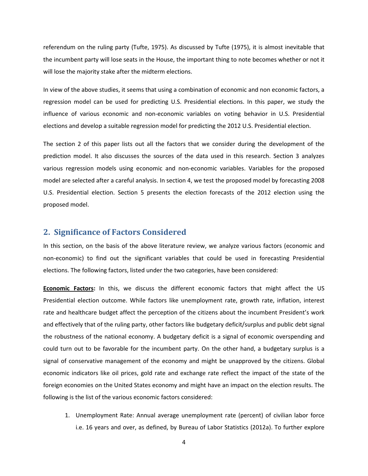referendum on the ruling party (Tufte, 1975). As discussed by Tufte (1975), it is almost inevitable that the incumbent party will lose seats in the House, the important thing to note becomes whether or not it will lose the majority stake after the midterm elections.

In view of the above studies, it seems that using a combination of economic and non economic factors, a regression model can be used for predicting U.S. Presidential elections. In this paper, we study the influence of various economic and non-economic variables on voting behavior in U.S. Presidential elections and develop a suitable regression model for predicting the 2012 U.S. Presidential election.

The section 2 of this paper lists out all the factors that we consider during the development of the prediction model. It also discusses the sources of the data used in this research. Section 3 analyzes various regression models using economic and non-economic variables. Variables for the proposed model are selected after a careful analysis. In section 4, we test the proposed model by forecasting 2008 U.S. Presidential election. Section 5 presents the election forecasts of the 2012 election using the proposed model.

#### **2. Significance of Factors Considered**

In this section, on the basis of the above literature review, we analyze various factors (economic and non-economic) to find out the significant variables that could be used in forecasting Presidential elections. The following factors, listed under the two categories, have been considered:

**Economic Factors:** In this, we discuss the different economic factors that might affect the US Presidential election outcome. While factors like unemployment rate, growth rate, inflation, interest rate and healthcare budget affect the perception of the citizens about the incumbent President's work and effectively that of the ruling party, other factors like budgetary deficit/surplus and public debt signal the robustness of the national economy. A budgetary deficit is a signal of economic overspending and could turn out to be favorable for the incumbent party. On the other hand, a budgetary surplus is a signal of conservative management of the economy and might be unapproved by the citizens. Global economic indicators like oil prices, gold rate and exchange rate reflect the impact of the state of the foreign economies on the United States economy and might have an impact on the election results. The following is the list of the various economic factors considered:

1. Unemployment Rate: Annual average unemployment rate (percent) of civilian labor force i.e. 16 years and over, as defined, by Bureau of Labor Statistics (2012a). To further explore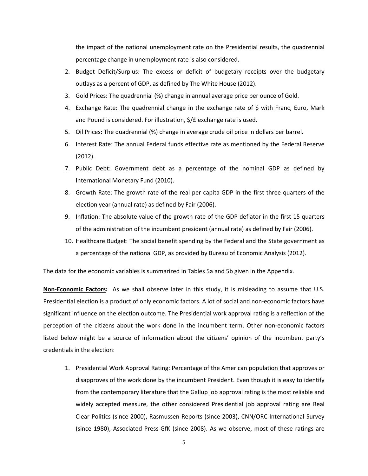the impact of the national unemployment rate on the Presidential results, the quadrennial percentage change in unemployment rate is also considered.

- 2. Budget Deficit/Surplus: The excess or deficit of budgetary receipts over the budgetary outlays as a percent of GDP, as defined by The White House (2012).
- 3. Gold Prices: The quadrennial (%) change in annual average price per ounce of Gold.
- 4. Exchange Rate: The quadrennial change in the exchange rate of \$ with Franc, Euro, Mark and Pound is considered. For illustration, \$/£ exchange rate is used.
- 5. Oil Prices: The quadrennial (%) change in average crude oil price in dollars per barrel.
- 6. Interest Rate: The annual Federal funds effective rate as mentioned by the Federal Reserve (2012).
- 7. Public Debt: Government debt as a percentage of the nominal GDP as defined by International Monetary Fund (2010).
- 8. Growth Rate: The growth rate of the real per capita GDP in the first three quarters of the election year (annual rate) as defined by Fair (2006).
- 9. Inflation: The absolute value of the growth rate of the GDP deflator in the first 15 quarters of the administration of the incumbent president (annual rate) as defined by Fair (2006).
- 10. Healthcare Budget: The social benefit spending by the Federal and the State government as a percentage of the national GDP, as provided by Bureau of Economic Analysis (2012).

The data for the economic variables is summarized in Tables 5a and 5b given in the Appendix.

**Non-Economic Factors:** As we shall observe later in this study, it is misleading to assume that U.S. Presidential election is a product of only economic factors. A lot of social and non-economic factors have significant influence on the election outcome. The Presidential work approval rating is a reflection of the perception of the citizens about the work done in the incumbent term. Other non-economic factors listed below might be a source of information about the citizens' opinion of the incumbent party's credentials in the election:

1. Presidential Work Approval Rating: Percentage of the American population that approves or disapproves of the work done by the incumbent President. Even though it is easy to identify from the contemporary literature that the Gallup job approval rating is the most reliable and widely accepted measure, the other considered Presidential job approval rating are Real Clear Politics (since 2000), Rasmussen Reports (since 2003), CNN/ORC International Survey (since 1980), Associated Press-GfK (since 2008). As we observe, most of these ratings are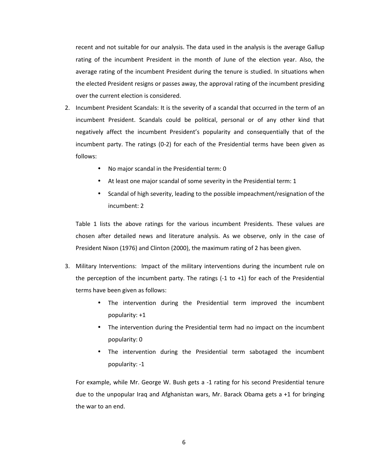recent and not suitable for our analysis. The data used in the analysis is the average Gallup rating of the incumbent President in the month of June of the election year. Also, the average rating of the incumbent President during the tenure is studied. In situations when the elected President resigns or passes away, the approval rating of the incumbent presiding over the current election is considered.

- 2. Incumbent President Scandals: It is the severity of a scandal that occurred in the term of an incumbent President. Scandals could be political, personal or of any other kind that negatively affect the incumbent President's popularity and consequentially that of the incumbent party. The ratings (0-2) for each of the Presidential terms have been given as follows:
	- No major scandal in the Presidential term: 0
	- At least one major scandal of some severity in the Presidential term: 1
	- Scandal of high severity, leading to the possible impeachment/resignation of the incumbent: 2

Table 1 lists the above ratings for the various incumbent Presidents. These values are chosen after detailed news and literature analysis. As we observe, only in the case of President Nixon (1976) and Clinton (2000), the maximum rating of 2 has been given.

- 3. Military Interventions: Impact of the military interventions during the incumbent rule on the perception of the incumbent party. The ratings  $(-1)$  to  $+1$ ) for each of the Presidential terms have been given as follows:
	- The intervention during the Presidential term improved the incumbent popularity: +1
	- The intervention during the Presidential term had no impact on the incumbent popularity: 0
	- The intervention during the Presidential term sabotaged the incumbent popularity: -1

For example, while Mr. George W. Bush gets a -1 rating for his second Presidential tenure due to the unpopular Iraq and Afghanistan wars, Mr. Barack Obama gets a +1 for bringing the war to an end.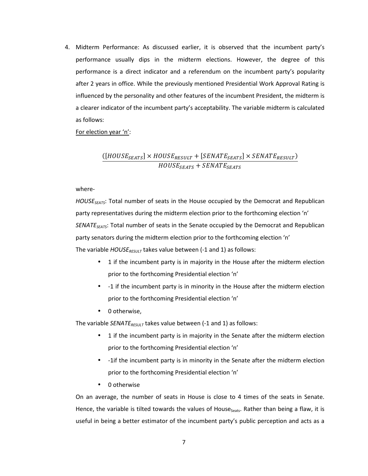4. Midterm Performance: As discussed earlier, it is observed that the incumbent party's performance usually dips in the midterm elections. However, the degree of this performance is a direct indicator and a referendum on the incumbent party's popularity after 2 years in office. While the previously mentioned Presidential Work Approval Rating is influenced by the personality and other features of the incumbent President, the midterm is a clearer indicator of the incumbent party's acceptability. The variable midterm is calculated as follows:

For election year 'n':

#### $([HOUSE_{SEATS}]\times HOUSE_{RESULT}+[SENATE_{SEATS}]\times SENATE_{RESULT})$  $\mathit{HOUSE}_{SEATS}+\mathit{SENATE}_{SEATS}$

where-

*HOUSESEATS*: Total number of seats in the House occupied by the Democrat and Republican party representatives during the midterm election prior to the forthcoming election 'n' *SENATESEATS*: Total number of seats in the Senate occupied by the Democrat and Republican party senators during the midterm election prior to the forthcoming election 'n' The variable *HOUSERESULT* takes value between (-1 and 1) as follows:

- 1 if the incumbent party is in majority in the House after the midterm election prior to the forthcoming Presidential election 'n'
- -1 if the incumbent party is in minority in the House after the midterm election prior to the forthcoming Presidential election 'n'
- 0 otherwise,

The variable *SENATE*<sub>RESULT</sub> takes value between (-1 and 1) as follows:

- 1 if the incumbent party is in majority in the Senate after the midterm election prior to the forthcoming Presidential election 'n'
- -1if the incumbent party is in minority in the Senate after the midterm election prior to the forthcoming Presidential election 'n'
- 0 otherwise

On an average, the number of seats in House is close to 4 times of the seats in Senate. Hence, the variable is tilted towards the values of House<sub>Seats</sub>. Rather than being a flaw, it is useful in being a better estimator of the incumbent party's public perception and acts as a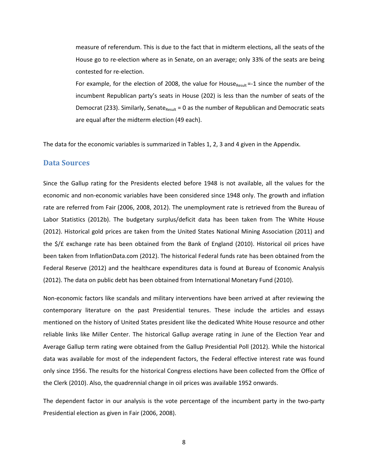measure of referendum. This is due to the fact that in midterm elections, all the seats of the House go to re-election where as in Senate, on an average; only 33% of the seats are being contested for re-election.

For example, for the election of 2008, the value for House<sub>Result</sub> =-1 since the number of the incumbent Republican party's seats in House (202) is less than the number of seats of the Democrat (233). Similarly, Senate<sub>Result</sub> = 0 as the number of Republican and Democratic seats are equal after the midterm election (49 each).

The data for the economic variables is summarized in Tables 1, 2, 3 and 4 given in the Appendix.

#### **Data Sources**

Since the Gallup rating for the Presidents elected before 1948 is not available, all the values for the economic and non-economic variables have been considered since 1948 only. The growth and inflation rate are referred from Fair (2006, 2008, 2012). The unemployment rate is retrieved from the Bureau of Labor Statistics (2012b). The budgetary surplus/deficit data has been taken from The White House (2012). Historical gold prices are taken from the United States National Mining Association (2011) and the \$/£ exchange rate has been obtained from the Bank of England (2010). Historical oil prices have been taken from InflationData.com (2012). The historical Federal funds rate has been obtained from the Federal Reserve (2012) and the healthcare expenditures data is found at Bureau of Economic Analysis (2012). The data on public debt has been obtained from International Monetary Fund (2010).

Non-economic factors like scandals and military interventions have been arrived at after reviewing the contemporary literature on the past Presidential tenures. These include the articles and essays mentioned on the history of United States president like the dedicated White House resource and other reliable links like Miller Center. The historical Gallup average rating in June of the Election Year and Average Gallup term rating were obtained from the Gallup Presidential Poll (2012). While the historical data was available for most of the independent factors, the Federal effective interest rate was found only since 1956. The results for the historical Congress elections have been collected from the Office of the Clerk (2010). Also, the quadrennial change in oil prices was available 1952 onwards.

The dependent factor in our analysis is the vote percentage of the incumbent party in the two-party Presidential election as given in Fair (2006, 2008).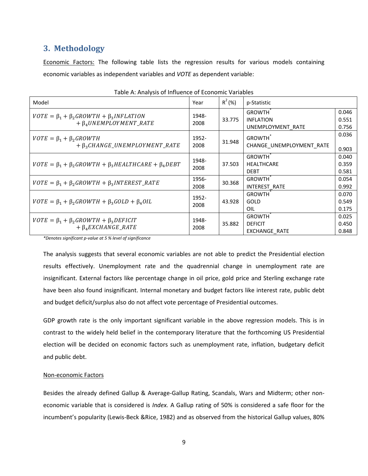### **3. Methodology**

**Economic Factors:** The following table lists the regression results for various models containing economic variables as independent variables and *VOTE* as dependent variable:

| Model                                                                                  | Year          | $R^2$ (%) | p-Statistic                                             |                         |
|----------------------------------------------------------------------------------------|---------------|-----------|---------------------------------------------------------|-------------------------|
| $VOTE = \beta_1 + \beta_2 GROWTH + \beta_3 INFLATION$<br>$+ \beta_4 UNEMPLOYMENT_RATE$ | 1948-<br>2008 | 33.775    | <b>GROWTH</b><br><b>INFLATION</b><br>UNEMPLOYMENT RATE  | 0.046<br>0.551<br>0.756 |
| $VOTE = \beta_1 + \beta_2 GROWTH$<br>$+ \beta_3 CHANGE$ _UNEMPLOYMENT_RATE             | 1952-<br>2008 | 31.948    | <b>GROWTH</b><br>CHANGE UNEMPLOYMENT RATE               | 0.036<br>0.903          |
| $VOTE = \beta_1 + \beta_2 GROWTH + \beta_3 HEALTHCARE + \beta_4 DEBT$                  | 1948-<br>2008 | 37.503    | <b>GROWTH</b><br><b>HEALTHCARE</b><br><b>DEBT</b>       | 0.040<br>0.359<br>0.581 |
| $VOTE = \beta_1 + \beta_2 GROWTH + \beta_3 INTEREST\_RATE$                             | 1956-<br>2008 | 30.368    | <b>GROWTH</b><br><b>INTEREST RATE</b>                   | 0.054<br>0.992          |
| $VOTE = \beta_1 + \beta_2 GROWTH + \beta_3 GOLD + \beta_4 OIL$                         | 1952-<br>2008 | 43.928    | <b>GROWTH</b><br><b>GOLD</b><br>OIL                     | 0.070<br>0.549<br>0.175 |
| $VOTE = \beta_1 + \beta_2 GROWTH + \beta_3 DEFICIT$<br>$+ \beta_4 EXCHANGE_RATE$       | 1948-<br>2008 | 35.882    | <b>GROWTH</b><br><b>DEFICIT</b><br><b>EXCHANGE RATE</b> | 0.025<br>0.450<br>0.848 |

|  | Table A: Analysis of Influence of Economic Variables |  |  |
|--|------------------------------------------------------|--|--|
|--|------------------------------------------------------|--|--|

*\*Denotes significant p-value at 5 % level of significance* 

The analysis suggests that several economic variables are not able to predict the Presidential election results effectively. Unemployment rate and the quadrennial change in unemployment rate are insignificant. External factors like percentage change in oil price, gold price and Sterling exchange rate have been also found insignificant. Internal monetary and budget factors like interest rate, public debt and budget deficit/surplus also do not affect vote percentage of Presidential outcomes.

GDP growth rate is the only important significant variable in the above regression models. This is in contrast to the widely held belief in the contemporary literature that the forthcoming US Presidential election will be decided on economic factors such as unemployment rate, inflation, budgetary deficit and public debt.

#### Non-economic Factors

Besides the already defined Gallup & Average-Gallup Rating, Scandals, Wars and Midterm; other noneconomic variable that is considered is *Index.* A Gallup rating of 50% is considered a safe floor for the incumbent's popularity (Lewis-Beck &Rice, 1982) and as observed from the historical Gallup values, 80%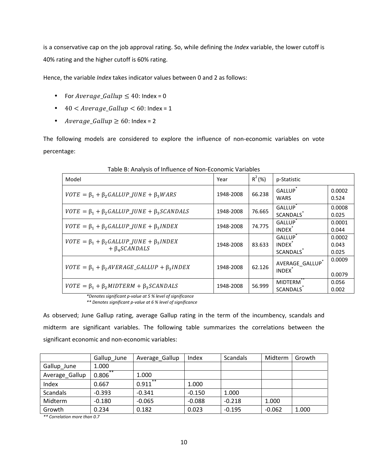is a conservative cap on the job approval rating. So, while defining the *Index* variable, the lower cutoff is 40% rating and the higher cutoff is 60% rating.

Hence, the variable *Index* takes indicator values between 0 and 2 as follows:

- For  $Average\_Gallup \leq 40$ : Index = 0
- $40 < \text{Average\_Gallup} < 60$ : Index = 1
- $Average\_Gallup \geq 60$ : Index = 2

The following models are considered to explore the influence of non-economic variables on vote percentage:

| Model                                                                                                                | Year      | $R^2$ (%) | p-Statistic                                      |                          |
|----------------------------------------------------------------------------------------------------------------------|-----------|-----------|--------------------------------------------------|--------------------------|
| $VOTE = \beta_1 + \beta_2 GALLUP$ JUNE + $\beta_3 WARS$                                                              | 1948-2008 | 66.238    | GALLUP <sup>®</sup><br><b>WARS</b>               | 0.0002<br>0.524          |
| $VOTE = \beta_1 + \beta_2 GALLUP$ JUNE + $\beta_3 SCANDALS$                                                          | 1948-2008 | 76.665    | <b>GALLUP</b><br><b>SCANDALS</b>                 | 0.0008<br>0.025          |
| $VOTE = \beta_1 + \beta_2 GALLUP$ JUNE + $\beta_3$ INDEX                                                             | 1948-2008 | 74.775    | <b>GALLUP</b><br><b>INDEX</b>                    | 0.0001<br>0.044          |
| $VOTE = \beta_1 + \beta_2 GALLUP$ JUNE + $\beta_3 INDEX$<br>$+ \beta_{4} SCANDALS$                                   | 1948-2008 | 83.633    | <b>GALLUP</b><br><b>INDEX</b><br><b>SCANDALS</b> | 0.0002<br>0.043<br>0.025 |
| $VOTE = \beta_1 + \beta_2 A VERAGE\_GALLUP + \beta_3 INDEX$                                                          | 1948-2008 | 62.126    | AVERAGE GALLUP<br><b>INDEX</b>                   | 0.0009<br>0.0079         |
| $VOTE = \beta_1 + \beta_2 MIDTERM + \beta_3 SCANDALS$<br>$*$ Danatos significant nugluo at E % loual of significance | 1948-2008 | 56.999    | <b>MIDTERM</b><br><b>SCANDALS</b>                | 0.056<br>0.002           |

Table B: Analysis of Influence of Non-Economic Variables

*\*Denotes significant p-value at 5 % level of significance \*\* Denotes significant p-value at 6 % level of significance* 

As observed; June Gallup rating, average Gallup rating in the term of the incumbency, scandals and midterm are significant variables. The following table summarizes the correlations between the significant economic and non-economic variables:

|                 | Gallup_June    | Average_Gallup | Index    | Scandals | Midterm  | Growth |
|-----------------|----------------|----------------|----------|----------|----------|--------|
| Gallup_June     | 1.000          |                |          |          |          |        |
| Average_Gallup  | $***$<br>0.806 | 1.000          |          |          |          |        |
| Index           | 0.667          | **<br>0.911    | 1.000    |          |          |        |
| <b>Scandals</b> | $-0.393$       | $-0.341$       | $-0.150$ | 1.000    |          |        |
| Midterm         | $-0.180$       | $-0.065$       | $-0.088$ | $-0.218$ | 1.000    |        |
| Growth          | 0.234          | 0.182          | 0.023    | $-0.195$ | $-0.062$ | 1.000  |

*\*\* Correlation more than 0.7*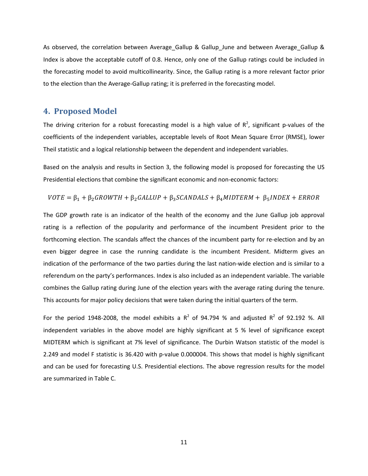As observed, the correlation between Average Gallup & Gallup June and between Average Gallup & Index is above the acceptable cutoff of 0.8. Hence, only one of the Gallup ratings could be included in the forecasting model to avoid multicollinearity. Since, the Gallup rating is a more relevant factor prior to the election than the Average-Gallup rating; it is preferred in the forecasting model.

#### **4. Proposed Model**

The driving criterion for a robust forecasting model is a high value of  $R^2$ , significant p-values of the coefficients of the independent variables, acceptable levels of Root Mean Square Error (RMSE), lower Theil statistic and a logical relationship between the dependent and independent variables.

Based on the analysis and results in Section 3, the following model is proposed for forecasting the US Presidential elections that combine the significant economic and non-economic factors:

 $VOTE = \beta_1 + \beta_2 GROWTH + \beta_2 GALLUP + \beta_3 SCANDALS + \beta_4 MIDTERM + \beta_5 INDEX + ERROR$ 

The GDP growth rate is an indicator of the health of the economy and the June Gallup job approval rating is a reflection of the popularity and performance of the incumbent President prior to the forthcoming election. The scandals affect the chances of the incumbent party for re-election and by an even bigger degree in case the running candidate is the incumbent President. Midterm gives an indication of the performance of the two parties during the last nation-wide election and is similar to a referendum on the party's performances. Index is also included as an independent variable. The variable combines the Gallup rating during June of the election years with the average rating during the tenure. This accounts for major policy decisions that were taken during the initial quarters of the term.

For the period 1948-2008, the model exhibits a  $R^2$  of 94.794 % and adjusted  $R^2$  of 92.192 %. All independent variables in the above model are highly significant at 5 % level of significance except MIDTERM which is significant at 7% level of significance. The Durbin Watson statistic of the model is 2.249 and model F statistic is 36.420 with p-value 0.000004. This shows that model is highly significant and can be used for forecasting U.S. Presidential elections. The above regression results for the model are summarized in Table C.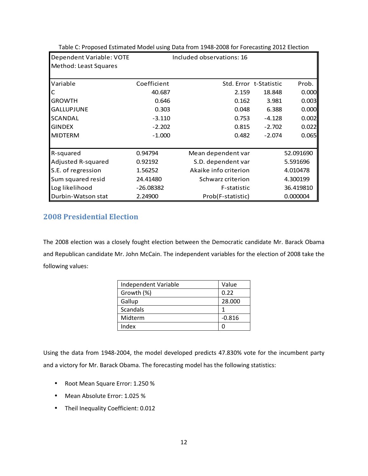| Dependent Variable: VOTE | Included observations: 16 |                       |                        |           |  |
|--------------------------|---------------------------|-----------------------|------------------------|-----------|--|
| Method: Least Squares    |                           |                       |                        |           |  |
| Variable                 | Coefficient               |                       | Std. Error t-Statistic | Prob.     |  |
| C                        | 40.687                    | 2.159                 | 18.848                 | 0.000     |  |
| <b>GROWTH</b>            | 0.646                     | 0.162                 | 3.981                  | 0.003     |  |
| <b>GALLUPJUNE</b>        | 0.303                     | 0.048                 | 6.388                  | 0.000     |  |
| <b>SCANDAL</b>           | $-3.110$                  | 0.753                 | $-4.128$               | 0.002     |  |
| <b>GINDEX</b>            | $-2.202$                  | 0.815                 | $-2.702$               | 0.022     |  |
| <b>MIDTERM</b>           | $-1.000$                  | 0.482                 | $-2.074$               | 0.065     |  |
|                          |                           |                       |                        |           |  |
| R-squared                | 0.94794                   | Mean dependent var    |                        | 52.091690 |  |
| Adjusted R-squared       | 0.92192                   | S.D. dependent var    |                        | 5.591696  |  |
| S.E. of regression       | 1.56252                   | Akaike info criterion |                        | 4.010478  |  |
| Sum squared resid        | 24.41480                  | Schwarz criterion     |                        | 4.300199  |  |
| Log likelihood           | $-26.08382$               | F-statistic           |                        | 36.419810 |  |
| Durbin-Watson stat       | 2.24900                   | Prob(F-statistic)     |                        | 0.000004  |  |

Table C: Proposed Estimated Model using Data from 1948-2008 for Forecasting 2012 Election

#### **2008 Presidential Election**

The 2008 election was a closely fought election between the Democratic candidate Mr. Barack Obama and Republican candidate Mr. John McCain. The independent variables for the election of 2008 take the following values:

| Independent Variable | Value    |
|----------------------|----------|
| Growth (%)           | 0.22     |
| Gallup               | 28,000   |
| Scandals             |          |
| Midterm              | $-0.816$ |
| Index                |          |

Using the data from 1948-2004, the model developed predicts 47.830% vote for the incumbent party and a victory for Mr. Barack Obama. The forecasting model has the following statistics:

- Root Mean Square Error: 1.250 %
- Mean Absolute Error: 1.025 %
- Theil Inequality Coefficient: 0.012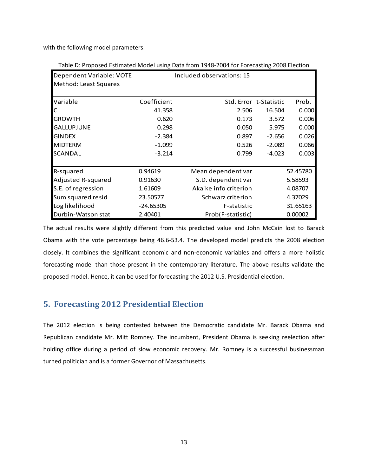with the following model parameters:

| Table D: Proposed Estimated Model using Data from 1948-2004 for Forecasting 2008 Election |  |  |
|-------------------------------------------------------------------------------------------|--|--|
|-------------------------------------------------------------------------------------------|--|--|

| Dependent Variable: VOTE | Included observations: 15 |                       |                        |          |  |  |
|--------------------------|---------------------------|-----------------------|------------------------|----------|--|--|
| Method: Least Squares    |                           |                       |                        |          |  |  |
| Variable                 | Coefficient               |                       | Std. Error t-Statistic | Prob.    |  |  |
| C                        | 41.358                    | 2.506                 | 16.504                 | 0.000    |  |  |
| <b>GROWTH</b>            | 0.620                     | 0.173                 | 3.572                  | 0.006    |  |  |
| <b>GALLUPJUNE</b>        | 0.298                     | 0.050                 | 5.975                  | 0.000    |  |  |
| <b>GINDEX</b>            | $-2.384$                  | 0.897                 | $-2.656$               | 0.026    |  |  |
| <b>MIDTERM</b>           | $-1.099$                  | 0.526                 | $-2.089$               | 0.066    |  |  |
| <b>SCANDAL</b>           | $-3.214$                  | 0.799                 | $-4.023$               | 0.003    |  |  |
|                          |                           |                       |                        |          |  |  |
| R-squared                | 0.94619                   | Mean dependent var    |                        | 52.45780 |  |  |
| Adjusted R-squared       | 0.91630                   | S.D. dependent var    |                        | 5.58593  |  |  |
| S.E. of regression       | 1.61609                   | Akaike info criterion |                        | 4.08707  |  |  |
| Sum squared resid        | 23.50577                  | Schwarz criterion     |                        | 4.37029  |  |  |
| Log likelihood           | $-24.65305$               | F-statistic           |                        | 31.65163 |  |  |
| Durbin-Watson stat       | 2.40401                   | Prob(F-statistic)     |                        | 0.00002  |  |  |

The actual results were slightly different from this predicted value and John McCain lost to Barack Obama with the vote percentage being 46.6-53.4. The developed model predicts the 2008 election closely. It combines the significant economic and non-economic variables and offers a more holistic forecasting model than those present in the contemporary literature. The above results validate the proposed model. Hence, it can be used for forecasting the 2012 U.S. Presidential election.

#### **5. Forecasting 2012 Presidential Election**

The 2012 election is being contested between the Democratic candidate Mr. Barack Obama and Republican candidate Mr. Mitt Romney. The incumbent, President Obama is seeking reelection after holding office during a period of slow economic recovery. Mr. Romney is a successful businessman turned politician and is a former Governor of Massachusetts.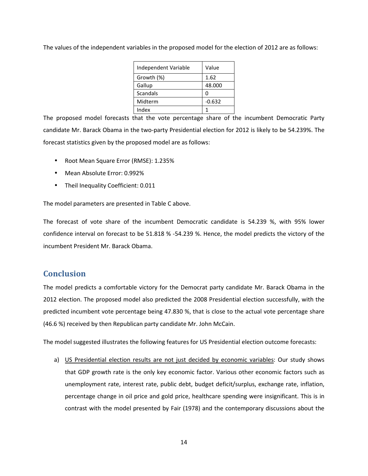| Independent Variable | Value    |
|----------------------|----------|
| Growth (%)           | 1.62     |
| Gallup               | 48.000   |
| Scandals             | Ω        |
| Midterm              | $-0.632$ |
| Index                |          |

The values of the independent variables in the proposed model for the election of 2012 are as follows:

The proposed model forecasts that the vote percentage share of the incumbent Democratic Party candidate Mr. Barack Obama in the two-party Presidential election for 2012 is likely to be 54.239%. The forecast statistics given by the proposed model are as follows:

- Root Mean Square Error (RMSE): 1.235%
- Mean Absolute Error: 0.992%
- Theil Inequality Coefficient: 0.011

The model parameters are presented in Table C above.

The forecast of vote share of the incumbent Democratic candidate is 54.239 %, with 95% lower confidence interval on forecast to be 51.818 % -54.239 %. Hence, the model predicts the victory of the incumbent President Mr. Barack Obama.

#### **Conclusion**

The model predicts a comfortable victory for the Democrat party candidate Mr. Barack Obama in the 2012 election. The proposed model also predicted the 2008 Presidential election successfully, with the predicted incumbent vote percentage being 47.830 %, that is close to the actual vote percentage share (46.6 %) received by then Republican party candidate Mr. John McCain.

The model suggested illustrates the following features for US Presidential election outcome forecasts:

a) US Presidential election results are not just decided by economic variables: Our study shows that GDP growth rate is the only key economic factor. Various other economic factors such as unemployment rate, interest rate, public debt, budget deficit/surplus, exchange rate, inflation, percentage change in oil price and gold price, healthcare spending were insignificant. This is in contrast with the model presented by Fair (1978) and the contemporary discussions about the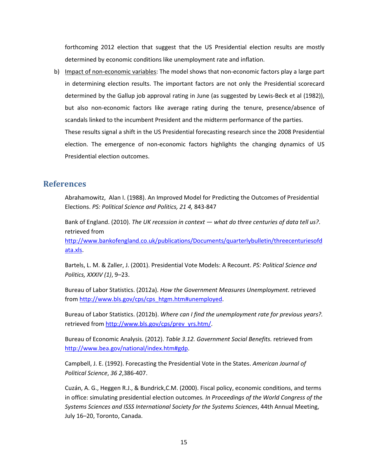forthcoming 2012 election that suggest that the US Presidential election results are mostly determined by economic conditions like unemployment rate and inflation.

b) Impact of non-economic variables: The model shows that non-economic factors play a large part in determining election results. The important factors are not only the Presidential scorecard determined by the Gallup job approval rating in June (as suggested by Lewis-Beck et al (1982)), but also non-economic factors like average rating during the tenure, presence/absence of scandals linked to the incumbent President and the midterm performance of the parties.

These results signal a shift in the US Presidential forecasting research since the 2008 Presidential election. The emergence of non-economic factors highlights the changing dynamics of US Presidential election outcomes.

#### **References**

Abrahamowitz, Alan I. (1988). An Improved Model for Predicting the Outcomes of Presidential Elections. *PS: Political Science and Politics, 21 4,* 843-847

Bank of England. (2010). *The UK recession in context — what do three centuries of data tell us?*. retrieved from

[http://www.bankofengland.co.uk/publications/Documents/quarterlybulletin/threecenturiesof](http://www.bankofengland.co.uk/publications/Documents/quarterlybulletin/threecenturiesofdata.pdf)d [ata.xls.](http://www.bankofengland.co.uk/publications/Documents/quarterlybulletin/threecenturiesofdata.pdf)

Bartels, L. M. & Zaller, J. (2001). Presidential Vote Models: A Recount. *PS: Political Science and Politics, XXXIV (1)*, 9–23.

Bureau of Labor Statistics. (2012a). *How the Government Measures Unemployment.* retrieved from [http://www.bls.gov/cps/cps\\_htgm.htm#unemployed](http://www.bls.gov/cps/cps_htgm.htm#unemployed).

Bureau of Labor Statistics. (2012b). *Where can I find the unemployment rate for previous years?.*  retrieved from [http://www.bls.gov/cps/prev\\_yrs.htm/](http://www.bls.gov/cps/prev_yrs.htm/).

Bureau of Economic Analysis. (2012). *Table 3.12. Government Social Benefits.* retrieved from <http://www.bea.gov/national/index.htm#gdp>.

Campbell, J. E. (1992). Forecasting the Presidential Vote in the States. *American Journal of Political Science*, *36 2*,386-407.

Cuzán, A. G., Heggen R.J., & Bundrick,C.M. (2000). Fiscal policy, economic conditions, and terms in office: simulating presidential election outcomes*. In Proceedings of the World Congress of the Systems Sciences and ISSS International Society for the Systems Sciences*, 44th Annual Meeting, July 16–20, Toronto, Canada.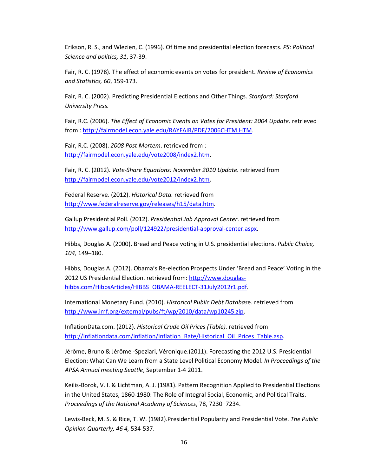Erikson, R. S., and Wlezien, C. (1996). Of time and presidential election forecasts. *PS: Political Science and politics, 31*, 37-39.

Fair, R. C. (1978). The effect of economic events on votes for president. *Review of Economics and Statistics, 60*, 159-173.

Fair, R. C. (2002). Predicting Presidential Elections and Other Things. *Stanford: Stanford University Press.* 

Fair, R.C. (2006). *The Effect of Economic Events on Votes for President: 2004 Update*. retrieved from : <http://fairmodel.econ.yale.edu/RAYFAIR/PDF/2006CHTM.HTM>.

Fair, R.C. (2008). *2008 Post Mortem*. retrieved from : <http://fairmodel.econ.yale.edu/vote2008/index2.htm>.

Fair, R. C. (2012). *Vote-Share Equations: November 2010 Update.* retrieved from <http://fairmodel.econ.yale.edu/vote2012/index2.htm>.

Federal Reserve. (2012). *Historical Data.* retrieved from <http://www.federalreserve.gov/releases/h15/data.htm>.

Gallup Presidential Poll. (2012). *Presidential Job Approval Center*. retrieved from <http://www.gallup.com/poll/124922/presidential-approval-center.aspx>.

Hibbs, Douglas A. (2000). Bread and Peace voting in U.S. presidential elections. *Public Choice, 104,* 149–180.

Hibbs, Douglas A. (2012). Obama's Re-election Prospects Under 'Bread and Peace' Voting in the 2012 US Presidential Election. retrieved from: [http://www.douglas](http://www.douglas-hibbs.com/HibbsArticles/HIBBS_OBAMA-REELECT-31July2012r1.pdf)[hibbs.com/HibbsArticles/HIBBS\\_OBAMA-REELECT-31July2012r1.pdf](http://www.douglas-hibbs.com/HibbsArticles/HIBBS_OBAMA-REELECT-31July2012r1.pdf).

International Monetary Fund. (2010). *Historical Public Debt Databas*e. retrieved from <http://www.imf.org/external/pubs/ft/wp/2010/data/wp10245.zip>.

InflationData.com. (2012). *Historical Crude Oil Prices (Table).* retrieved from [http://inflationdata.com/inflation/Inflation\\_Rate/Historical\\_Oil\\_Prices\\_Table.asp](http://inflationdata.com/inflation/Inflation_Rate/Historical_Oil_Prices_Table.asp).

Jérôme, Bruno & Jérôme -Speziari, Véronique.(2011). Forecasting the 2012 U.S. Presidential Election: What Can We Learn from a State Level Political Economy Model. *In Proceedings of the APSA Annual meeting Seattle*, September 1-4 2011.

Keilis-Borok, V. I. & Lichtman, A. J. (1981). Pattern Recognition Applied to Presidential Elections in the United States, 1860-1980: The Role of Integral Social, Economic, and Political Traits. *Proceedings of the National Academy of Sciences*, 78, 7230−7234.

Lewis-Beck, M. S. & Rice, T. W. (1982).Presidential Popularity and Presidential Vote. *The Public Opinion Quarterly, 46 4,* 534-537.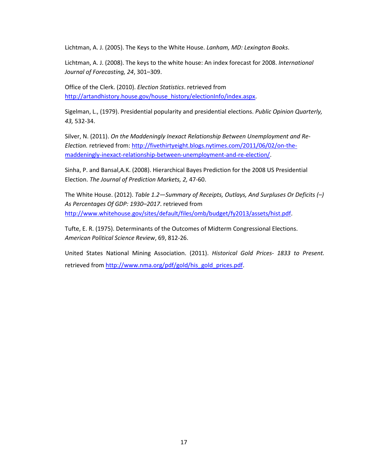Lichtman, A. J. (2005). The Keys to the White House. *Lanham, MD: Lexington Books*.

Lichtman, A. J. (2008). The keys to the white house: An index forecast for 2008. *International Journal of Forecasting, 24*, 301–309.

Office of the Clerk. (2010). *Election Statistics*. retrieved from [http://artandhistory.house.gov/house\\_history/electionInfo/index.aspx](http://artandhistory.house.gov/house_history/electionInfo/index.aspx).

Sigelman, L., (1979). Presidential popularity and presidential elections. *Public Opinion Quarterly, 43,* 532-34.

Silver, N. (2011). *On the Maddeningly Inexact Relationship Between Unemployment and Re-Election.* retrieved from: [http://fivethirtyeight.blogs.nytimes.com/2011/06/02/on-the](http://fivethirtyeight.blogs.nytimes.com/2011/06/02/on-the-maddeningly-inexact-relationship-between-unemployment-and-re-election/)[maddeningly-inexact-relationship-between-unemployment-and-re-election/](http://fivethirtyeight.blogs.nytimes.com/2011/06/02/on-the-maddeningly-inexact-relationship-between-unemployment-and-re-election/).

Sinha, P. and Bansal,A.K. (2008). Hierarchical Bayes Prediction for the 2008 US Presidential Election. *The Journal of Prediction Markets, 2,* 47-60.

The White House. (2012). *Table 1.2—Summary of Receipts, Outlays, And Surpluses Or Deficits (–) As Percentages Of GDP: 1930–2017*. retrieved from <http://www.whitehouse.gov/sites/default/files/omb/budget/fy2013/assets/hist.pdf>.

Tufte, E. R. (1975). Determinants of the Outcomes of Midterm Congressional Elections. *American Political Science Review*, 69, 812-26.

United States National Mining Association. (2011). *Historical Gold Prices- 1833 to Present.* retrieved from [http://www.nma.org/pdf/gold/his\\_gold\\_prices.pdf](http://www.nma.org/pdf/gold/his_gold_prices.pdf).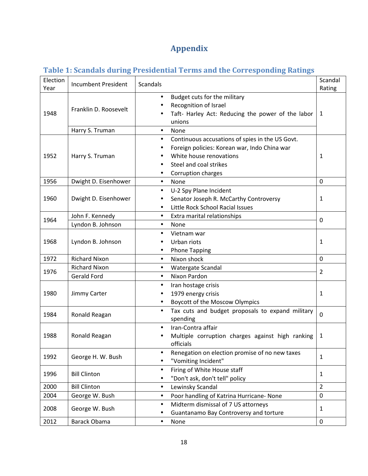# **Appendix**

## **Table 1: Scandals during Presidential Terms and the Corresponding Ratings**

| Election | <b>Incumbent President</b> | Scandals                                                                      | Scandal        |
|----------|----------------------------|-------------------------------------------------------------------------------|----------------|
| Year     |                            |                                                                               | Rating         |
|          |                            | Budget cuts for the military                                                  |                |
|          | Franklin D. Roosevelt      | Recognition of Israel                                                         |                |
| 1948     |                            | Taft- Harley Act: Reducing the power of the labor                             | 1              |
|          |                            | unions                                                                        |                |
|          | Harry S. Truman            | <b>None</b><br>٠                                                              |                |
|          |                            | Continuous accusations of spies in the US Govt.<br>$\bullet$                  |                |
|          |                            | Foreign policies: Korean war, Indo China war<br>White house renovations       |                |
| 1952     | Harry S. Truman            | Steel and coal strikes                                                        | 1              |
|          |                            |                                                                               |                |
| 1956     |                            | Corruption charges                                                            | 0              |
|          | Dwight D. Eisenhower       | None<br>$\bullet$                                                             |                |
| 1960     |                            | U-2 Spy Plane Incident<br>$\bullet$<br>Senator Joseph R. McCarthy Controversy | 1              |
|          | Dwight D. Eisenhower       | Little Rock School Racial Issues<br>$\bullet$                                 |                |
|          | John F. Kennedy            | $\bullet$                                                                     |                |
| 1964     | Lyndon B. Johnson          | Extra marital relationships                                                   | $\Omega$       |
|          |                            | <b>None</b><br>$\bullet$<br>Vietnam war                                       |                |
| 1968     |                            | $\bullet$<br>Urban riots                                                      |                |
|          | Lyndon B. Johnson          | <b>Phone Tapping</b>                                                          | 1              |
| 1972     | <b>Richard Nixon</b>       | Nixon shock<br>$\bullet$                                                      | 0              |
|          | <b>Richard Nixon</b>       |                                                                               |                |
| 1976     | <b>Gerald Ford</b>         | Watergate Scandal<br>$\bullet$<br>Nixon Pardon<br>$\bullet$                   | $\overline{2}$ |
|          |                            |                                                                               |                |
| 1980     |                            | Iran hostage crisis<br>٠<br>1979 energy crisis                                | 1              |
|          | Jimmy Carter               | Boycott of the Moscow Olympics                                                |                |
|          |                            | Tax cuts and budget proposals to expand military                              |                |
| 1984     | Ronald Reagan              | spending                                                                      | $\Omega$       |
|          |                            | Iran-Contra affair                                                            |                |
| 1988     | Ronald Reagan              | Multiple corruption charges against high ranking                              | 1              |
|          |                            | officials                                                                     |                |
|          |                            | Renegation on election promise of no new taxes                                |                |
| 1992     | George H. W. Bush          | "Vomiting Incident"                                                           | $\mathbf{1}$   |
|          |                            | Firing of White House staff<br>$\bullet$                                      |                |
| 1996     | <b>Bill Clinton</b>        | "Don't ask, don't tell" policy                                                | $\mathbf{1}$   |
| 2000     | <b>Bill Clinton</b>        | Lewinsky Scandal                                                              | $\overline{2}$ |
| 2004     | George W. Bush             | Poor handling of Katrina Hurricane- None                                      | 0              |
|          |                            | Midterm dismissal of 7 US attorneys                                           |                |
| 2008     | George W. Bush             | Guantanamo Bay Controversy and torture                                        | $\mathbf{1}$   |
| 2012     | <b>Barack Obama</b>        | None                                                                          | 0              |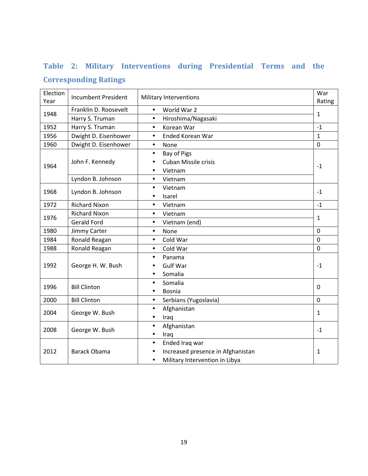## **Table 2: Military Interventions during Presidential Terms and the**

### **Corresponding Ratings**

| Election<br>Year | <b>Incumbent President</b> | <b>Military Interventions</b>      | War<br>Rating |
|------------------|----------------------------|------------------------------------|---------------|
|                  | Franklin D. Roosevelt      | World War 2<br>$\bullet$           |               |
| 1948             | Harry S. Truman            | Hiroshima/Nagasaki<br>$\bullet$    | $\mathbf{1}$  |
| 1952             | Harry S. Truman            | Korean War<br>$\bullet$            | $-1$          |
| 1956             | Dwight D. Eisenhower       | Ended Korean War<br>$\bullet$      | $\mathbf{1}$  |
| 1960             | Dwight D. Eisenhower       | None<br>$\bullet$                  | $\mathbf 0$   |
|                  |                            | Bay of Pigs<br>$\bullet$           |               |
|                  | John F. Kennedy            | <b>Cuban Missile crisis</b>        |               |
| 1964             |                            | Vietnam<br>$\bullet$               | $-1$          |
|                  | Lyndon B. Johnson          | Vietnam<br>$\bullet$               |               |
|                  |                            | Vietnam<br>$\bullet$               |               |
| 1968             | Lyndon B. Johnson          | Isarel<br>$\bullet$                | $-1$          |
| 1972             | <b>Richard Nixon</b>       | Vietnam<br>$\bullet$               | $-1$          |
|                  | <b>Richard Nixon</b>       | Vietnam<br>$\bullet$               |               |
| 1976             | <b>Gerald Ford</b>         | Vietnam (end)<br>$\bullet$         | $\mathbf{1}$  |
| 1980             | Jimmy Carter               | None<br>$\bullet$                  | $\mathbf 0$   |
| 1984             | Ronald Reagan              | Cold War<br>$\bullet$              | $\mathbf 0$   |
| 1988             | Ronald Reagan              | Cold War<br>$\bullet$              | $\mathbf 0$   |
|                  |                            | Panama<br>$\bullet$                |               |
| 1992             | George H. W. Bush          | <b>Gulf War</b>                    | $-1$          |
|                  |                            | Somalia<br>$\bullet$               |               |
| 1996             | <b>Bill Clinton</b>        | Somalia<br>$\bullet$               | $\mathbf 0$   |
|                  |                            | <b>Bosnia</b>                      |               |
| 2000             | <b>Bill Clinton</b>        | Serbians (Yugoslavia)<br>$\bullet$ | $\mathbf 0$   |
| 2004             | George W. Bush             | Afghanistan<br>$\bullet$           | $\mathbf{1}$  |
|                  |                            | Iraq<br>$\bullet$                  |               |
| 2008             | George W. Bush             | Afghanistan<br>$\bullet$           | $-1$          |
|                  |                            | Iraq                               |               |
|                  |                            | Ended Iraq war<br>$\bullet$        |               |
| 2012             | <b>Barack Obama</b>        | Increased presence in Afghanistan  | 1             |
|                  |                            | Military Intervention in Libya     |               |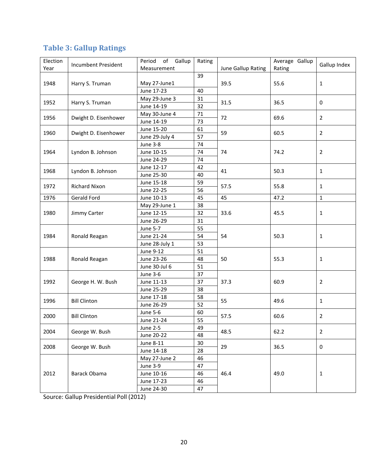| Election |                            | of Gallup<br>Period | Rating |                    | Average Gallup |                |
|----------|----------------------------|---------------------|--------|--------------------|----------------|----------------|
| Year     | <b>Incumbent President</b> | Measurement         |        | June Gallup Rating | Rating         | Gallup Index   |
|          |                            |                     | 39     |                    |                |                |
| 1948     | Harry S. Truman            | May 27-June1        |        | 39.5               | 55.6           | $\mathbf{1}$   |
|          |                            | June 17-23          | 40     |                    |                |                |
| 1952     |                            | May 29-June 3       | 31     | 31.5               | 36.5           | 0              |
|          | Harry S. Truman            | June 14-19          | 32     |                    |                |                |
| 1956     | Dwight D. Eisenhower       | May 30-June 4       | $71\,$ | 72                 | 69.6           | 2              |
|          |                            | June 14-19          | 73     |                    |                |                |
| 1960     | Dwight D. Eisenhower       | June 15-20          | 61     | 59                 | 60.5           | $\overline{2}$ |
|          |                            | June 29-July 4      | 57     |                    |                |                |
|          |                            | June 3-8            | 74     |                    |                |                |
| 1964     | Lyndon B. Johnson          | June 10-15          | 74     | 74                 | 74.2           | $\overline{2}$ |
|          |                            | June 24-29          | 74     |                    |                |                |
| 1968     | Lyndon B. Johnson          | June 12-17          | 42     | 41                 | 50.3           | $\mathbf{1}$   |
|          |                            | June 25-30          | 40     |                    |                |                |
| 1972     | <b>Richard Nixon</b>       | June 15-18          | 59     | 57.5               | 55.8           | 1              |
|          |                            | June 22-25          | 56     |                    |                |                |
| 1976     | Gerald Ford                | June 10-13          | 45     | 45                 | 47.2           | $\mathbf{1}$   |
|          |                            | May 29-June 1       | 38     |                    | 45.5           | $\mathbf{1}$   |
| 1980     | Jimmy Carter               | June 12-15          | 32     | 33.6               |                |                |
|          |                            | June 26-29          | 31     |                    |                |                |
|          |                            | June 5-7            | 55     | 54                 | 50.3           | $\mathbf{1}$   |
| 1984     | Ronald Reagan              | June 21-24          | 54     |                    |                |                |
|          |                            | June 28-July 1      | 53     |                    |                |                |
|          |                            | June 9-12           | 51     | 50                 | 55.3           | 1              |
| 1988     | Ronald Reagan              | June 23-26          | 48     |                    |                |                |
|          |                            | June 30-Jul 6       | 51     |                    |                |                |
|          |                            | <b>June 3-6</b>     | 37     |                    |                |                |
| 1992     | George H. W. Bush          | June 11-13          | 37     | 37.3               | 60.9           | 2              |
|          |                            | June 25-29          | 38     |                    |                |                |
| 1996     | <b>Bill Clinton</b>        | June 17-18          | 58     | 55                 | 49.6           | $\mathbf{1}$   |
|          |                            | June 26-29          | 52     |                    |                |                |
| 2000     | <b>Bill Clinton</b>        | <b>June 5-6</b>     | 60     | 57.5               | 60.6           | $\overline{2}$ |
|          |                            | June 21-24          | 55     |                    |                |                |
| 2004     | George W. Bush             | <b>June 2-5</b>     | 49     | 48.5               | 62.2           |                |
|          |                            | June 20-22          | 48     |                    |                | $\overline{2}$ |
| 2008     | George W. Bush             | June 8-11           | 30     | 29                 | 36.5           | $\mathbf 0$    |
|          |                            | June 14-18          | 28     |                    |                |                |
|          |                            | May 27-June 2       | 46     |                    |                |                |
|          |                            | <b>June 3-9</b>     | 47     |                    |                |                |
| 2012     | Barack Obama               | June 10-16          | 46     | 46.4               | 49.0           | $\mathbf{1}$   |
|          |                            | June 17-23          | 46     |                    |                |                |
|          |                            | June 24-30          | 47     |                    |                |                |

## **Table 3: Gallup Ratings**

Source: Gallup Presidential Poll (2012)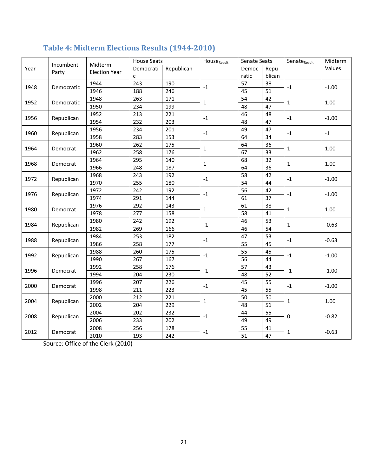|      | Incumbent  | Midterm<br><b>Election Year</b> | <b>House Seats</b> |            | House <sub>Result</sub> | Senate Seats |        | Senate <sub>Result</sub> | Midterm |
|------|------------|---------------------------------|--------------------|------------|-------------------------|--------------|--------|--------------------------|---------|
| Year |            |                                 | Democrati          | Republican |                         | Democ        | Repu   |                          | Values  |
|      | Party      |                                 | с                  |            |                         | ratic        | blican |                          |         |
| 1948 | Democratic | 1944                            | 243                | 190        | $^{\mbox{-}}1$          | 57           | 38     | $-1$                     | $-1.00$ |
|      |            | 1946                            | 188                | 246        |                         | 45           | 51     |                          |         |
| 1952 | Democratic | 1948                            | 263                | 171        | $\mathbf{1}$            | 54           | 42     | $\mathbf{1}$             | 1.00    |
|      |            | 1950                            | 234                | 199        |                         | 48           | 47     |                          |         |
| 1956 | Republican | 1952                            | 213                | 221        | $\text{-}1$             | 46           | 48     | $\text{-}1$              | $-1.00$ |
|      |            | 1954                            | 232                | 203        |                         | 48           | 47     |                          |         |
| 1960 | Republican | 1956                            | 234                | 201        | $\text{-}1$             | 49           | 47     | $\text{-}1$              | $-1$    |
|      |            | 1958                            | 283                | 153        |                         | 64           | 34     |                          |         |
| 1964 |            | 1960                            | 262                | 175        | $\mathbf{1}$            | 64           | 36     | $\mathbf{1}$             | 1.00    |
|      | Democrat   | 1962                            | 258                | 176        |                         | 67           | 33     |                          |         |
| 1968 |            | 1964                            | 295                | 140        | $\mathbf{1}$            | 68           | 32     | 1                        | 1.00    |
|      | Democrat   | 1966                            | 248                | 187        |                         | 64           | 36     |                          |         |
| 1972 |            | 1968                            | 243                | 192        | $^{\mbox{-}}1$          | 58           | 42     | $\text{-}1$              | $-1.00$ |
|      | Republican | 1970                            | 255                | 180        |                         | 54           | 44     |                          |         |
| 1976 | Republican | 1972                            | 242                | 192        | $^{\mbox{-}}1$          | 56           | 42     | $\text{-}1$              | $-1.00$ |
|      |            | 1974                            | 291                | 144        |                         | 61           | 37     |                          |         |
| 1980 | Democrat   | 1976                            | 292                | 143        | $\mathbf{1}$            | 61           | 38     | $\mathbf{1}$             | 1.00    |
|      |            | 1978                            | 277                | 158        |                         | 58           | 41     |                          |         |
| 1984 | Republican | 1980                            | 242                | 192        | $-1$                    | 46           | 53     | $\mathbf{1}$             | $-0.63$ |
|      |            | 1982                            | 269                | 166        |                         | 46           | 54     |                          |         |
| 1988 | Republican | 1984                            | 253                | 182        | $-1$                    | 47           | 53     | $-1$                     | $-0.63$ |
|      |            | 1986                            | 258                | 177        |                         | 55           | 45     |                          |         |
| 1992 | Republican | 1988                            | 260                | 175        | $^{\rm -1}$             | 55           | 45     | $-1$                     | $-1.00$ |
|      |            | 1990                            | 267                | 167        |                         | 56           | 44     |                          |         |
| 1996 | Democrat   | 1992                            | 258                | 176        | $^{\rm -1}$             | 57           | 43     | $\text{-}1$              | $-1.00$ |
|      |            | 1994                            | 204                | 230        |                         | 48           | 52     |                          |         |
| 2000 | Democrat   | 1996                            | 207                | 226        | $^{\rm -1}$             | 45           | 55     | $-1$                     | $-1.00$ |
|      |            | 1998                            | 211                | 223        |                         | 45           | 55     |                          |         |
| 2004 | Republican | 2000                            | 212                | 221        | $\mathbf{1}$            | 50           | 50     | 1                        | 1.00    |
|      |            | 2002                            | 204                | 229        |                         | 48           | 51     |                          |         |
| 2008 | Republican | 2004                            | 202                | 232        | $-1$                    | 44           | 55     | 0                        | $-0.82$ |
|      |            | 2006                            | 233                | 202        |                         | 49           | 49     |                          |         |
| 2012 | Democrat   | 2008                            | 256                | 178        | $^{\rm -1}$             | 55           | 41     | 1                        |         |
|      |            | 2010                            | 193                | 242        |                         | 51           | 47     |                          | $-0.63$ |

# **Table 4: Midterm Elections Results (1944-2010)**

Source: Office of the Clerk (2010)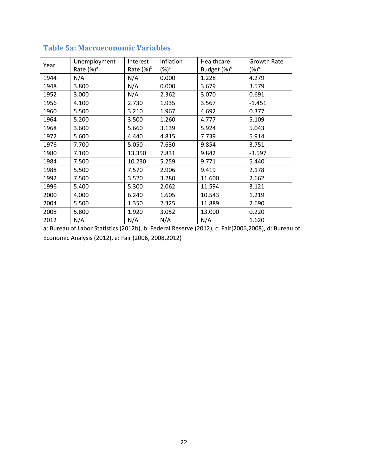| Year | Unemployment  | Interest      | Inflation | Healthcare      | Growth Rate |  |
|------|---------------|---------------|-----------|-----------------|-------------|--|
|      | Rate $(\%)^a$ | Rate $(\%)^b$ | $(\%)^c$  | Budget $(\%)^d$ | $(\%)^e$    |  |
| 1944 | N/A           | N/A           | 0.000     | 1.228           | 4.279       |  |
| 1948 | 3.800         | N/A           | 0.000     | 3.679           | 3.579       |  |
| 1952 | 3.000         | N/A           | 2.362     | 3.070           | 0.691       |  |
| 1956 | 4.100         | 2.730         | 1.935     | 3.567           | $-1.451$    |  |
| 1960 | 5.500         | 3.210         | 1.967     | 4.692           | 0.377       |  |
| 1964 | 5.200         | 3.500         | 1.260     | 4.777           | 5.109       |  |
| 1968 | 3.600         | 5.660         | 3.139     | 5.924           | 5.043       |  |
| 1972 | 5.600         | 4.440         | 4.815     | 7.739           | 5.914       |  |
| 1976 | 7.700         | 5.050         | 7.630     | 9.854           | 3.751       |  |
| 1980 | 7.100         | 13.350        | 7.831     | 9.842           | $-3.597$    |  |
| 1984 | 7.500         | 10.230        | 5.259     | 9.771           | 5.440       |  |
| 1988 | 5.500         | 7.570         | 2.906     | 9.419           | 2.178       |  |
| 1992 | 7.500         | 3.520         | 3.280     | 11.600          | 2.662       |  |
| 1996 | 5.400         | 5.300         | 2.062     | 11.594          | 3.121       |  |
| 2000 | 4.000         | 6.240         | 1.605     | 10.543          | 1.219       |  |
| 2004 | 5.500         | 1.350         | 2.325     | 11.889          | 2.690       |  |
| 2008 | 5.800         | 1.920         | 3.052     | 13.000          | 0.220       |  |
| 2012 | N/A           | N/A           | N/A       | N/A             | 1.620       |  |

### **Table 5a: Macroeconomic Variables**

a: Bureau of Labor Statistics (2012b), b: Federal Reserve (2012), c: Fair(2006,2008), d: Bureau of Economic Analysis (2012), e: Fair (2006, 2008,2012)